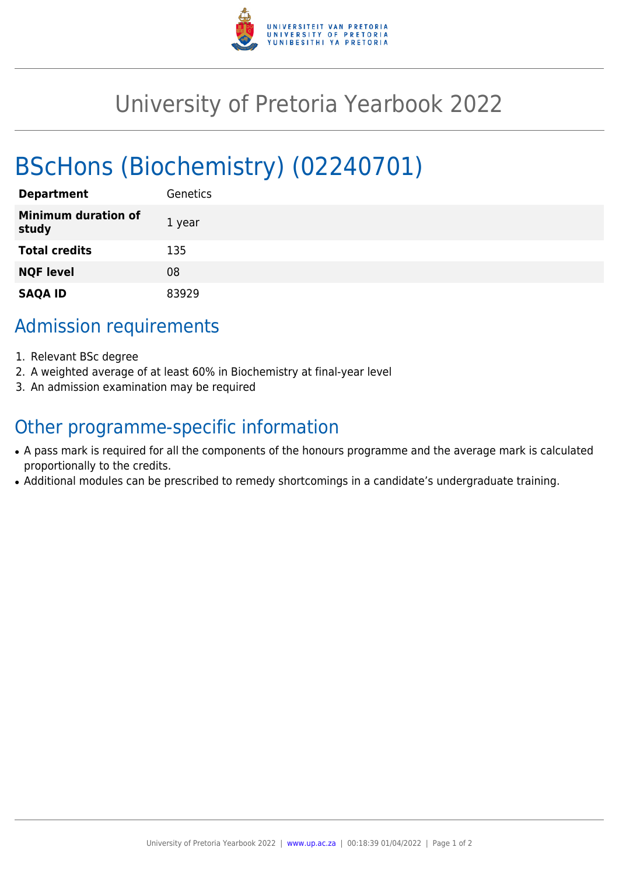

## University of Pretoria Yearbook 2022

# BScHons (Biochemistry) (02240701)

| <b>Department</b>                   | Genetics |
|-------------------------------------|----------|
| <b>Minimum duration of</b><br>study | 1 year   |
| <b>Total credits</b>                | 135      |
| <b>NQF level</b>                    | 08       |
| <b>SAQA ID</b>                      | 83929    |

### Admission requirements

- 1. Relevant BSc degree
- 2. A weighted average of at least 60% in Biochemistry at final-year level
- 3. An admission examination may be required

### Other programme-specific information

- A pass mark is required for all the components of the honours programme and the average mark is calculated proportionally to the credits.
- Additional modules can be prescribed to remedy shortcomings in a candidate's undergraduate training.